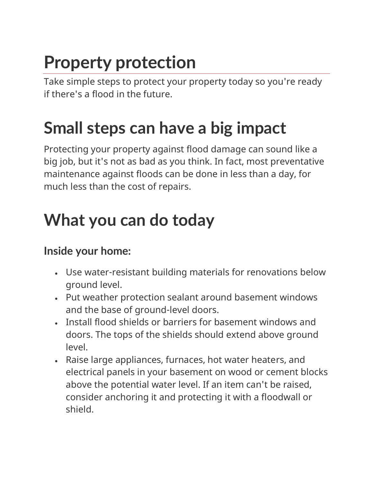# **Property protection**

Take simple steps to protect your property today so you're ready if there's a flood in the future.

### **Small steps can have a big impact**

Protecting your property against flood damage can sound like a big job, but it's not as bad as you think. In fact, most preventative maintenance against floods can be done in less than a day, for much less than the cost of repairs.

## **What you can do today**

#### **Inside your home:**

- Use water-resistant building materials for renovations below ground level.
- Put weather protection sealant around basement windows and the base of ground-level doors.
- Install flood shields or barriers for basement windows and doors. The tops of the shields should extend above ground level.
- Raise large appliances, furnaces, hot water heaters, and electrical panels in your basement on wood or cement blocks above the potential water level. If an item can't be raised, consider anchoring it and protecting it with a floodwall or shield.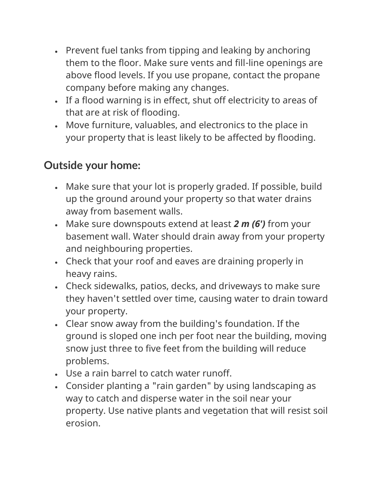- Prevent fuel tanks from tipping and leaking by anchoring them to the floor. Make sure vents and fill-line openings are above flood levels. If you use propane, contact the propane company before making any changes.
- If a flood warning is in effect, shut off electricity to areas of that are at risk of flooding.
- Move furniture, valuables, and electronics to the place in your property that is least likely to be affected by flooding.

#### **Outside your home:**

- Make sure that your lot is properly graded. If possible, build up the ground around your property so that water drains away from basement walls.
- Make sure downspouts extend at least *2 m (6')* from your basement wall. Water should drain away from your property and neighbouring properties.
- Check that your roof and eaves are draining properly in heavy rains.
- Check sidewalks, patios, decks, and driveways to make sure they haven't settled over time, causing water to drain toward your property.
- Clear snow away from the building's foundation. If the ground is sloped one inch per foot near the building, moving snow just three to five feet from the building will reduce problems.
- Use a rain barrel to catch water runoff.
- Consider planting a "rain garden" by using landscaping as way to catch and disperse water in the soil near your property. Use native plants and vegetation that will resist soil erosion.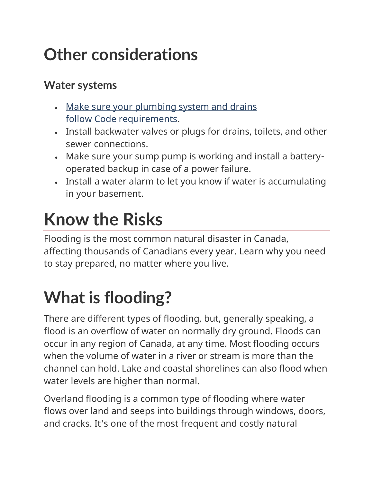## **Other considerations**

#### **Water systems**

- Make sure your plumbing system and drains follow Code [requirements.](https://nrc.canada.ca/en/certifications-evaluations-standards)
- Install backwater valves or plugs for drains, toilets, and other sewer connections.
- Make sure your sump pump is working and install a batteryoperated backup in case of a power failure.
- Install a water alarm to let you know if water is accumulating in your basement.

# **Know the Risks**

Flooding is the most common natural disaster in Canada, affecting thousands of Canadians every year. Learn why you need to stay prepared, no matter where you live.

# **What is flooding?**

There are different types of flooding, but, generally speaking, a flood is an overflow of water on normally dry ground. Floods can occur in any region of Canada, at any time. Most flooding occurs when the volume of water in a river or stream is more than the channel can hold. Lake and coastal shorelines can also flood when water levels are higher than normal.

Overland flooding is a common type of flooding where water flows over land and seeps into buildings through windows, doors, and cracks. It's one of the most frequent and costly natural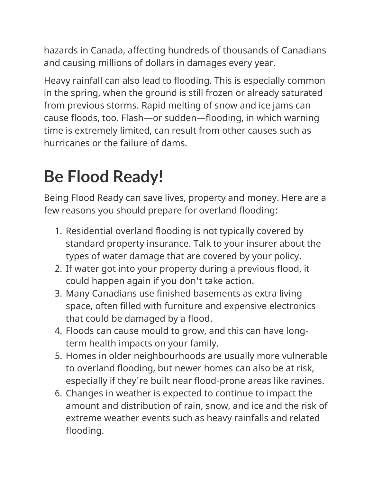hazards in Canada, affecting hundreds of thousands of Canadians and causing millions of dollars in damages every year.

Heavy rainfall can also lead to flooding. This is especially common in the spring, when the ground is still frozen or already saturated from previous storms. Rapid melting of snow and ice jams can cause floods, too. Flash—or sudden—flooding, in which warning time is extremely limited, can result from other causes such as hurricanes or the failure of dams.

# **Be Flood Ready!**

Being Flood Ready can save lives, property and money. Here are a few reasons you should prepare for overland flooding:

- 1. Residential overland flooding is not typically covered by standard property insurance. Talk to your insurer about the types of water damage that are covered by your policy.
- 2. If water got into your property during a previous flood, it could happen again if you don't take action.
- 3. Many Canadians use finished basements as extra living space, often filled with furniture and expensive electronics that could be damaged by a flood.
- 4. Floods can cause mould to grow, and this can have longterm health impacts on your family.
- 5. Homes in older neighbourhoods are usually more vulnerable to overland flooding, but newer homes can also be at risk, especially if they're built near flood-prone areas like ravines.
- 6. Changes in weather is expected to continue to impact the amount and distribution of rain, snow, and ice and the risk of extreme weather events such as heavy rainfalls and related flooding.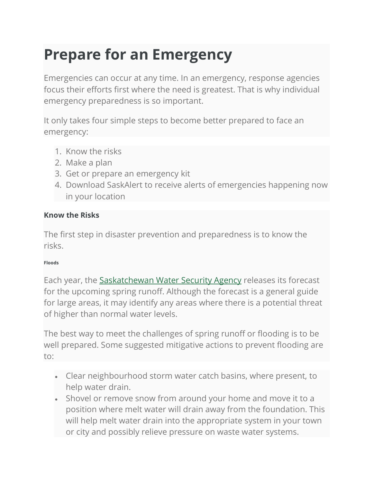### **Prepare for an Emergency**

Emergencies can occur at any time. In an emergency, response agencies focus their efforts first where the need is greatest. That is why individual emergency preparedness is so important.

It only takes four simple steps to become better prepared to face an emergency:

- 1. Know the risks
- 2. Make a plan
- 3. Get or prepare an emergency kit
- 4. Download SaskAlert to receive alerts of emergencies happening now in your location

#### **Know the Risks**

The first step in disaster prevention and preparedness is to know the risks.

#### **Floods**

Each year, the [Saskatchewan Water Security Agency](https://www.wsask.ca/) releases its forecast for the upcoming spring runoff. Although the forecast is a general guide for large areas, it may identify any areas where there is a potential threat of higher than normal water levels.

The best way to meet the challenges of spring runoff or flooding is to be well prepared. Some suggested mitigative actions to prevent flooding are to:

- Clear neighbourhood storm water catch basins, where present, to help water drain.
- Shovel or remove snow from around your home and move it to a position where melt water will drain away from the foundation. This will help melt water drain into the appropriate system in your town or city and possibly relieve pressure on waste water systems.